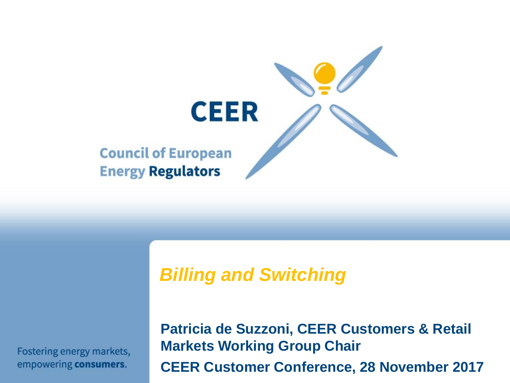

## *Billing and Switching*

Fostering energy markets, empowering consumers.

**Patricia de Suzzoni, CEER Customers & Retail Markets Working Group Chair CEER Customer Conference, 28 November 2017**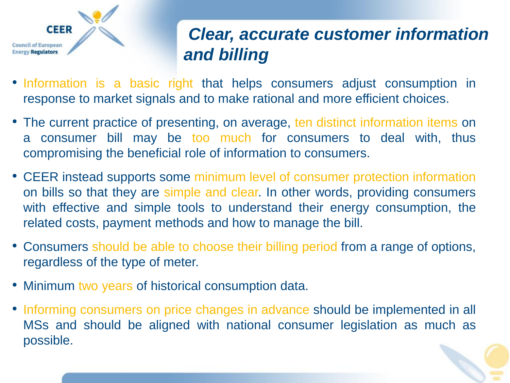

## *Clear, accurate customer information and billing*

- Information is a basic right that helps consumers adjust consumption in response to market signals and to make rational and more efficient choices.
- The current practice of presenting, on average, ten distinct information items on a consumer bill may be too much for consumers to deal with, thus compromising the beneficial role of information to consumers.
- CEER instead supports some minimum level of consumer protection information on bills so that they are simple and clear. In other words, providing consumers with effective and simple tools to understand their energy consumption, the related costs, payment methods and how to manage the bill.
- Consumers should be able to choose their billing period from a range of options, regardless of the type of meter.
- Minimum two years of historical consumption data.
- Informing consumers on price changes in advance should be implemented in all MSs and should be aligned with national consumer legislation as much as possible.